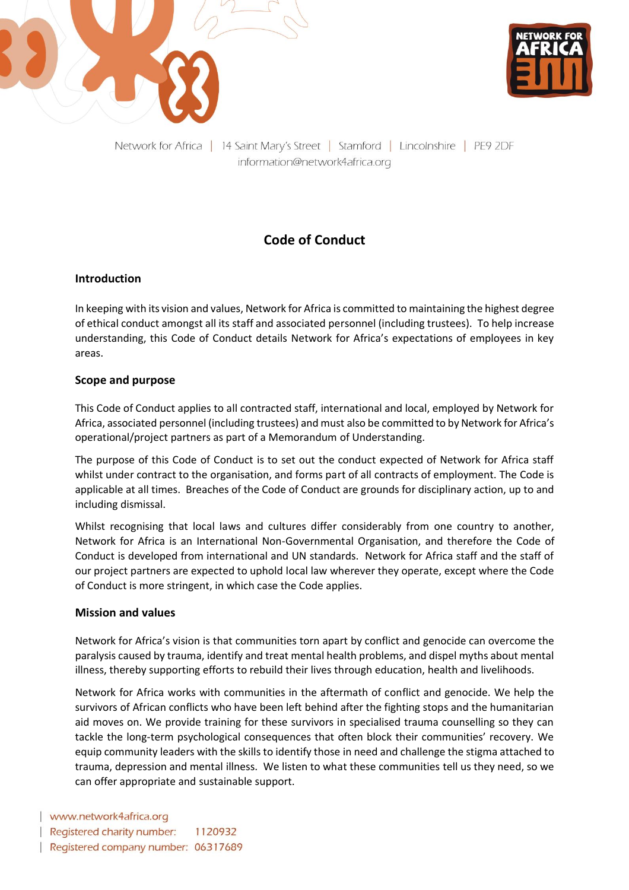



Network for Africa | 14 Saint Mary's Street | Stamford | Lincolnshire | PE9 2DF information@network4africa.org

# **Code of Conduct**

## **Introduction**

In keeping with its vision and values, Network for Africa is committed to maintaining the highest degree of ethical conduct amongst all its staff and associated personnel (including trustees). To help increase understanding, this Code of Conduct details Network for Africa's expectations of employees in key areas.

### **Scope and purpose**

This Code of Conduct applies to all contracted staff, international and local, employed by Network for Africa, associated personnel (including trustees) and must also be committed to by Network for Africa's operational/project partners as part of a Memorandum of Understanding.

The purpose of this Code of Conduct is to set out the conduct expected of Network for Africa staff whilst under contract to the organisation, and forms part of all contracts of employment. The Code is applicable at all times. Breaches of the Code of Conduct are grounds for disciplinary action, up to and including dismissal.

Whilst recognising that local laws and cultures differ considerably from one country to another, Network for Africa is an International Non-Governmental Organisation, and therefore the Code of Conduct is developed from international and UN standards. Network for Africa staff and the staff of our project partners are expected to uphold local law wherever they operate, except where the Code of Conduct is more stringent, in which case the Code applies.

#### **Mission and values**

Network for Africa's vision is that communities torn apart by conflict and genocide can overcome the paralysis caused by trauma, identify and treat mental health problems, and dispel myths about mental illness, thereby supporting efforts to rebuild their lives through education, health and livelihoods.

Network for Africa works with communities in the aftermath of conflict and genocide. We help the survivors of African conflicts who have been left behind after the fighting stops and the humanitarian aid moves on. We provide training for these survivors in specialised trauma counselling so they can tackle the long-term psychological consequences that often block their communities' recovery. We equip community leaders with the skills to identify those in need and challenge the stigma attached to trauma, depression and mental illness. We listen to what these communities tell us they need, so we can offer appropriate and sustainable support.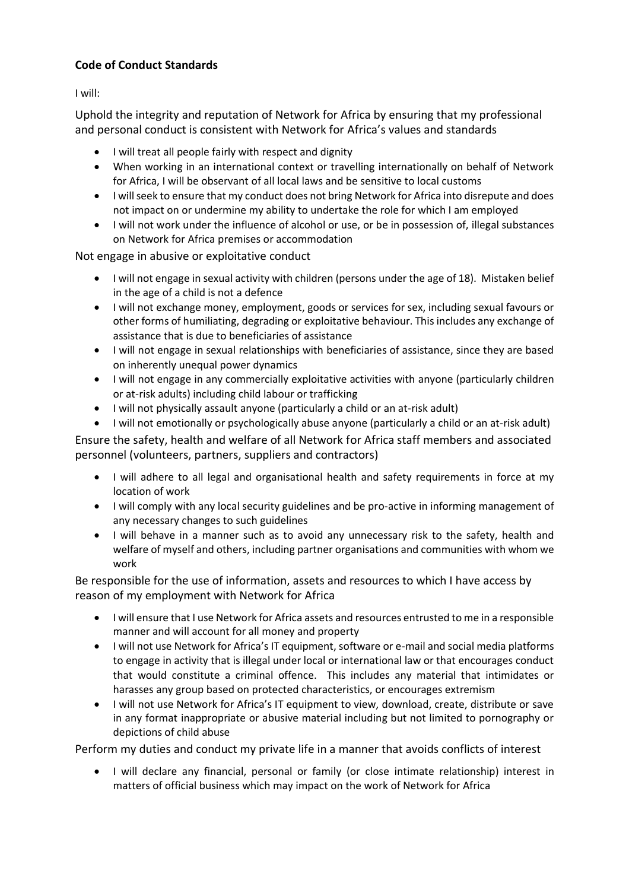# **Code of Conduct Standards**

I will:

Uphold the integrity and reputation of Network for Africa by ensuring that my professional and personal conduct is consistent with Network for Africa's values and standards

- I will treat all people fairly with respect and dignity
- When working in an international context or travelling internationally on behalf of Network for Africa, I will be observant of all local laws and be sensitive to local customs
- I will seek to ensure that my conduct does not bring Network for Africa into disrepute and does not impact on or undermine my ability to undertake the role for which I am employed
- I will not work under the influence of alcohol or use, or be in possession of, illegal substances on Network for Africa premises or accommodation

Not engage in abusive or exploitative conduct

- I will not engage in sexual activity with children (persons under the age of 18). Mistaken belief in the age of a child is not a defence
- I will not exchange money, employment, goods or services for sex, including sexual favours or other forms of humiliating, degrading or exploitative behaviour. This includes any exchange of assistance that is due to beneficiaries of assistance
- I will not engage in sexual relationships with beneficiaries of assistance, since they are based on inherently unequal power dynamics
- I will not engage in any commercially exploitative activities with anyone (particularly children or at-risk adults) including child labour or trafficking
- I will not physically assault anyone (particularly a child or an at-risk adult)
- I will not emotionally or psychologically abuse anyone (particularly a child or an at-risk adult)

Ensure the safety, health and welfare of all Network for Africa staff members and associated personnel (volunteers, partners, suppliers and contractors)

- I will adhere to all legal and organisational health and safety requirements in force at my location of work
- I will comply with any local security guidelines and be pro-active in informing management of any necessary changes to such guidelines
- I will behave in a manner such as to avoid any unnecessary risk to the safety, health and welfare of myself and others, including partner organisations and communities with whom we work

Be responsible for the use of information, assets and resources to which I have access by reason of my employment with Network for Africa

- I will ensure that I use Network for Africa assets and resources entrusted to me in a responsible manner and will account for all money and property
- I will not use Network for Africa's IT equipment, software or e-mail and social media platforms to engage in activity that is illegal under local or international law or that encourages conduct that would constitute a criminal offence. This includes any material that intimidates or harasses any group based on protected characteristics, or encourages extremism
- I will not use Network for Africa's IT equipment to view, download, create, distribute or save in any format inappropriate or abusive material including but not limited to pornography or depictions of child abuse

Perform my duties and conduct my private life in a manner that avoids conflicts of interest

• I will declare any financial, personal or family (or close intimate relationship) interest in matters of official business which may impact on the work of Network for Africa